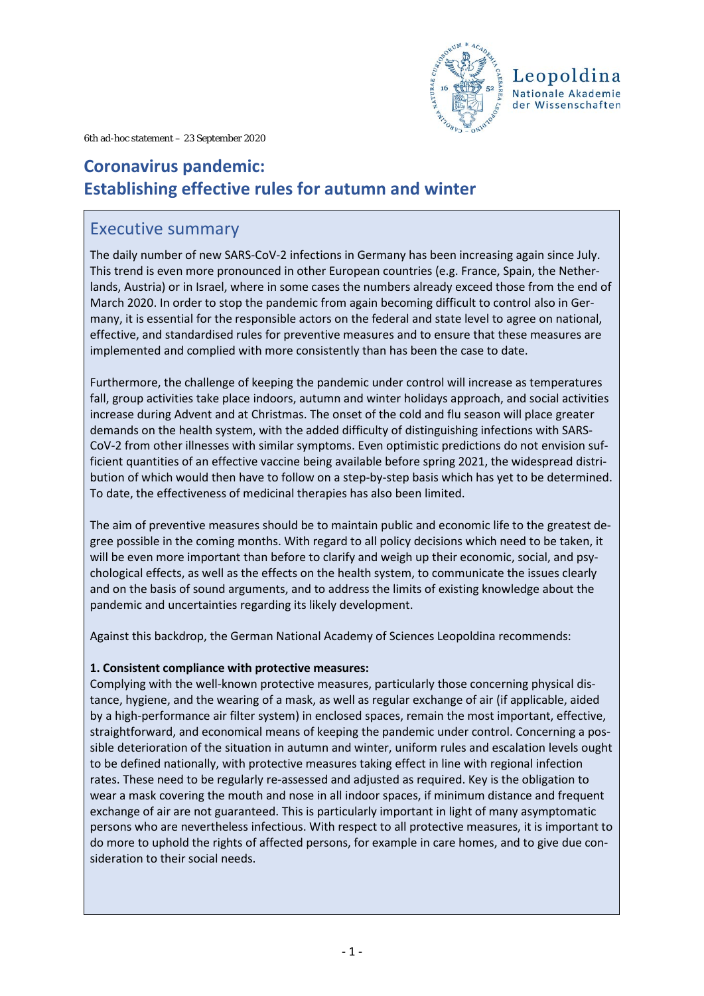

6th ad-hoc statement – 23 September 2020

# **Coronavirus pandemic: Establishing effective rules for autumn and winter**

### Executive summary

The daily number of new SARS-CoV-2 infections in Germany has been increasing again since July. This trend is even more pronounced in other European countries (e.g. France, Spain, the Netherlands, Austria) or in Israel, where in some cases the numbers already exceed those from the end of March 2020. In order to stop the pandemic from again becoming difficult to control also in Germany, it is essential for the responsible actors on the federal and state level to agree on national, effective, and standardised rules for preventive measures and to ensure that these measures are implemented and complied with more consistently than has been the case to date.

Furthermore, the challenge of keeping the pandemic under control will increase as temperatures fall, group activities take place indoors, autumn and winter holidays approach, and social activities increase during Advent and at Christmas. The onset of the cold and flu season will place greater demands on the health system, with the added difficulty of distinguishing infections with SARS-CoV-2 from other illnesses with similar symptoms. Even optimistic predictions do not envision sufficient quantities of an effective vaccine being available before spring 2021, the widespread distribution of which would then have to follow on a step-by-step basis which has yet to be determined. To date, the effectiveness of medicinal therapies has also been limited.

The aim of preventive measures should be to maintain public and economic life to the greatest degree possible in the coming months. With regard to all policy decisions which need to be taken, it will be even more important than before to clarify and weigh up their economic, social, and psychological effects, as well as the effects on the health system, to communicate the issues clearly and on the basis of sound arguments, and to address the limits of existing knowledge about the pandemic and uncertainties regarding its likely development.

Against this backdrop, the German National Academy of Sciences Leopoldina recommends:

### **1. Consistent compliance with protective measures:**

Complying with the well-known protective measures, particularly those concerning physical distance, hygiene, and the wearing of a mask, as well as regular exchange of air (if applicable, aided by a high-performance air filter system) in enclosed spaces, remain the most important, effective, straightforward, and economical means of keeping the pandemic under control. Concerning a possible deterioration of the situation in autumn and winter, uniform rules and escalation levels ought to be defined nationally, with protective measures taking effect in line with regional infection rates. These need to be regularly re-assessed and adjusted as required. Key is the obligation to wear a mask covering the mouth and nose in all indoor spaces, if minimum distance and frequent exchange of air are not guaranteed. This is particularly important in light of many asymptomatic persons who are nevertheless infectious. With respect to all protective measures, it is important to do more to uphold the rights of affected persons, for example in care homes, and to give due consideration to their social needs.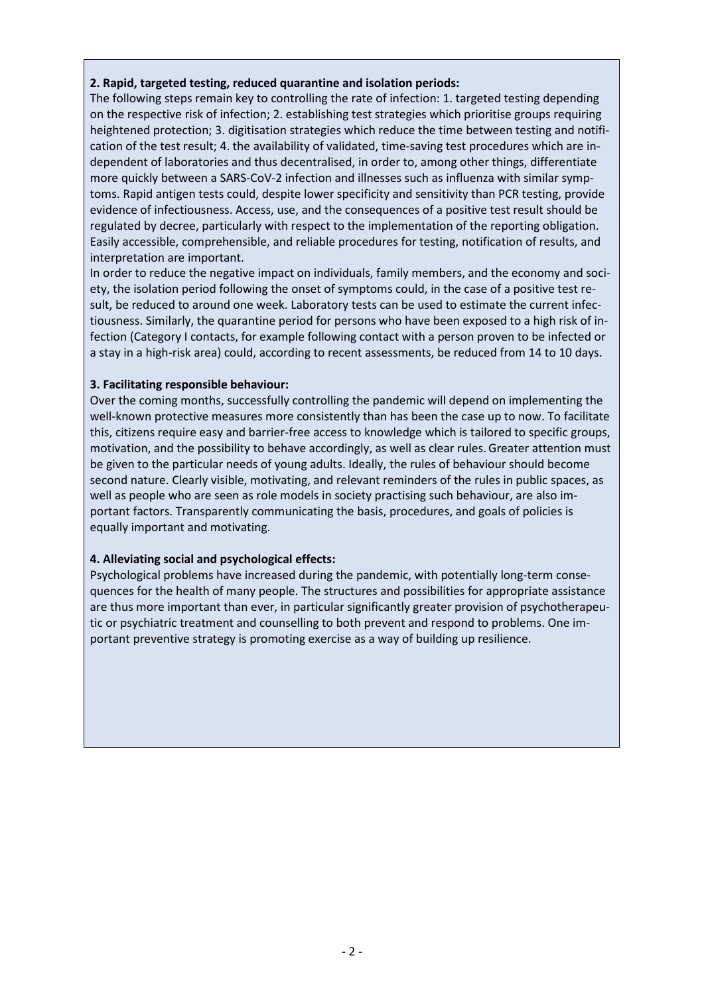#### **2. Rapid, targeted testing, reduced quarantine and isolation periods:**

The following steps remain key to controlling the rate of infection: 1. targeted testing depending on the respective risk of infection; 2. establishing test strategies which prioritise groups requiring heightened protection; 3. digitisation strategies which reduce the time between testing and notification of the test result; 4. the availability of validated, time-saving test procedures which are independent of laboratories and thus decentralised, in order to, among other things, differentiate more quickly between a SARS-CoV-2 infection and illnesses such as influenza with similar symptoms. Rapid antigen tests could, despite lower specificity and sensitivity than PCR testing, provide evidence of infectiousness. Access, use, and the consequences of a positive test result should be regulated by decree, particularly with respect to the implementation of the reporting obligation. Easily accessible, comprehensible, and reliable procedures for testing, notification of results, and interpretation are important.

In order to reduce the negative impact on individuals, family members, and the economy and society, the isolation period following the onset of symptoms could, in the case of a positive test result, be reduced to around one week. Laboratory tests can be used to estimate the current infectiousness. Similarly, the quarantine period for persons who have been exposed to a high risk of infection (Category I contacts, for example following contact with a person proven to be infected or a stay in a high-risk area) could, according to recent assessments, be reduced from 14 to 10 days.

### **3. Facilitating responsible behaviour:**

Over the coming months, successfully controlling the pandemic will depend on implementing the well-known protective measures more consistently than has been the case up to now. To facilitate this, citizens require easy and barrier-free access to knowledge which is tailored to specific groups, motivation, and the possibility to behave accordingly, as well as clear rules.Greater attention must be given to the particular needs of young adults. Ideally, the rules of behaviour should become second nature. Clearly visible, motivating, and relevant reminders of the rules in public spaces, as well as people who are seen as role models in society practising such behaviour, are also important factors. Transparently communicating the basis, procedures, and goals of policies is equally important and motivating.

### **4. Alleviating social and psychological effects:**

Psychological problems have increased during the pandemic, with potentially long-term consequences for the health of many people. The structures and possibilities for appropriate assistance are thus more important than ever, in particular significantly greater provision of psychotherapeutic or psychiatric treatment and counselling to both prevent and respond to problems. One important preventive strategy is promoting exercise as a way of building up resilience.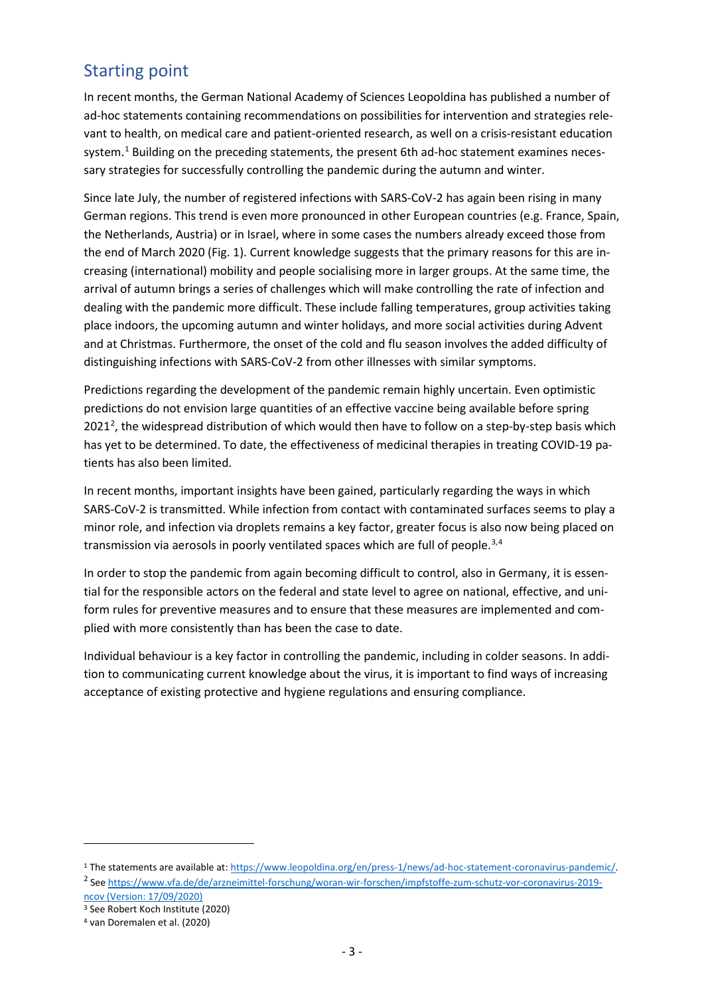## Starting point

In recent months, the German National Academy of Sciences Leopoldina has published a number of ad-hoc statements containing recommendations on possibilities for intervention and strategies relevant to health, on medical care and patient-oriented research, as well on a crisis-resistant education system.<sup>[1](#page-2-0)</sup> Building on the preceding statements, the present 6th ad-hoc statement examines necessary strategies for successfully controlling the pandemic during the autumn and winter.

Since late July, the number of registered infections with SARS-CoV-2 has again been rising in many German regions. This trend is even more pronounced in other European countries (e.g. France, Spain, the Netherlands, Austria) or in Israel, where in some cases the numbers already exceed those from the end of March 2020 (Fig. 1). Current knowledge suggests that the primary reasons for this are increasing (international) mobility and people socialising more in larger groups. At the same time, the arrival of autumn brings a series of challenges which will make controlling the rate of infection and dealing with the pandemic more difficult. These include falling temperatures, group activities taking place indoors, the upcoming autumn and winter holidays, and more social activities during Advent and at Christmas. Furthermore, the onset of the cold and flu season involves the added difficulty of distinguishing infections with SARS-CoV-2 from other illnesses with similar symptoms.

Predictions regarding the development of the pandemic remain highly uncertain. Even optimistic predictions do not envision large quantities of an effective vaccine being available before spring [2](#page-2-1)021<sup>2</sup>, the widespread distribution of which would then have to follow on a step-by-step basis which has yet to be determined. To date, the effectiveness of medicinal therapies in treating COVID-19 patients has also been limited.

In recent months, important insights have been gained, particularly regarding the ways in which SARS-CoV-2 is transmitted. While infection from contact with contaminated surfaces seems to play a minor role, and infection via droplets remains a key factor, greater focus is also now being placed on transmission via aerosols in poorly ventilated spaces which are full of people.<sup>[3](#page-2-2),[4](#page-2-3)</sup>

In order to stop the pandemic from again becoming difficult to control, also in Germany, it is essential for the responsible actors on the federal and state level to agree on national, effective, and uniform rules for preventive measures and to ensure that these measures are implemented and complied with more consistently than has been the case to date.

Individual behaviour is a key factor in controlling the pandemic, including in colder seasons. In addition to communicating current knowledge about the virus, it is important to find ways of increasing acceptance of existing protective and hygiene regulations and ensuring compliance.

[ncov \(Version:](https://www.vfa.de/de/arzneimittel-forschung/woran-wir-forschen/impfstoffe-zum-schutz-vor-coronavirus-2019-ncov) [17/09/2020\)](https://www.vfa.de/de/arzneimittel-forschung/woran-wir-forschen/impfstoffe-zum-schutz-vor-coronavirus-2019-ncov) <sup>3</sup> See Robert Koch Institute (2020)

<u>.</u>

<span id="page-2-1"></span><span id="page-2-0"></span><sup>1</sup> The statements are available at: [https://www.leopoldina.org/en/press-1/news/ad-hoc-statement-coronavirus-pandemic/.](https://www.leopoldina.org/en/press-1/news/ad-hoc-statement-coronavirus-pandemic/) <sup>2</sup> Se[e https://www.vfa.de/de/arzneimittel-forschung/woran-wir-forschen/impfstoffe-zum-schutz-vor-coronavirus-2019-](https://www.vfa.de/de/arzneimittel-forschung/woran-wir-forschen/impfstoffe-zum-schutz-vor-coronavirus-2019-ncov)

<span id="page-2-3"></span><span id="page-2-2"></span><sup>4</sup> van Doremalen et al. (2020)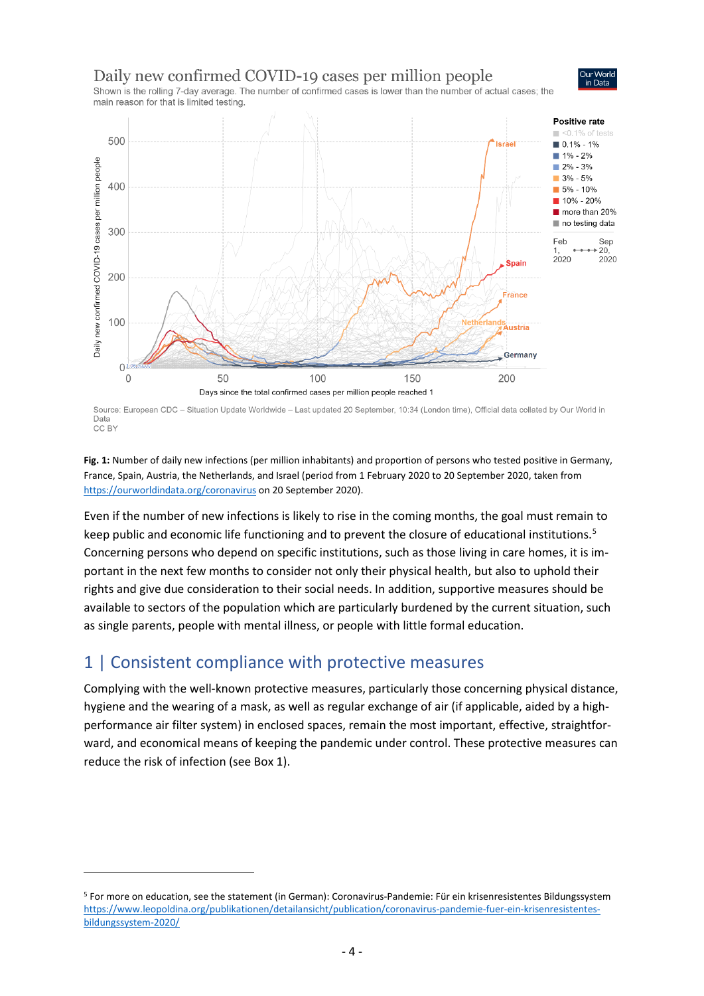### Daily new confirmed COVID-19 cases per million people



Shown is the rolling 7-day average. The number of confirmed cases is lower than the number of actual cases; the main reason for that is limited testing



Source: European CDC - Situation Update Worldwide - Last updated 20 September, 10:34 (London time), Official data collated by Our World in Data CC BY

**Fig. 1:** Number of daily new infections (per million inhabitants) and proportion of persons who tested positive in Germany, France, Spain, Austria, the Netherlands, and Israel (period from 1 February 2020 to 20 September 2020, taken from <https://ourworldindata.org/coronavirus> on 20 September 2020).

Even if the number of new infections is likely to rise in the coming months, the goal must remain to keep public and economic life functioning and to prevent the closure of educational institutions.<sup>[5](#page-3-0)</sup> Concerning persons who depend on specific institutions, such as those living in care homes, it is important in the next few months to consider not only their physical health, but also to uphold their rights and give due consideration to their social needs. In addition, supportive measures should be available to sectors of the population which are particularly burdened by the current situation, such as single parents, people with mental illness, or people with little formal education.

### 1 | Consistent compliance with protective measures

 $\overline{a}$ 

Complying with the well-known protective measures, particularly those concerning physical distance, hygiene and the wearing of a mask, as well as regular exchange of air (if applicable, aided by a highperformance air filter system) in enclosed spaces, remain the most important, effective, straightforward, and economical means of keeping the pandemic under control. These protective measures can reduce the risk of infection (see Box 1).

<span id="page-3-0"></span><sup>5</sup> For more on education, see the statement (in German): Coronavirus-Pandemie: Für ein krisenresistentes Bildungssystem [https://www.leopoldina.org/publikationen/detailansicht/publication/coronavirus-pandemie-fuer-ein-krisenresistentes](https://www.leopoldina.org/publikationen/detailansicht/publication/coronavirus-pandemie-fuer-ein-krisenresistentes-bildungssystem-2020/)[bildungssystem-2020/](https://www.leopoldina.org/publikationen/detailansicht/publication/coronavirus-pandemie-fuer-ein-krisenresistentes-bildungssystem-2020/)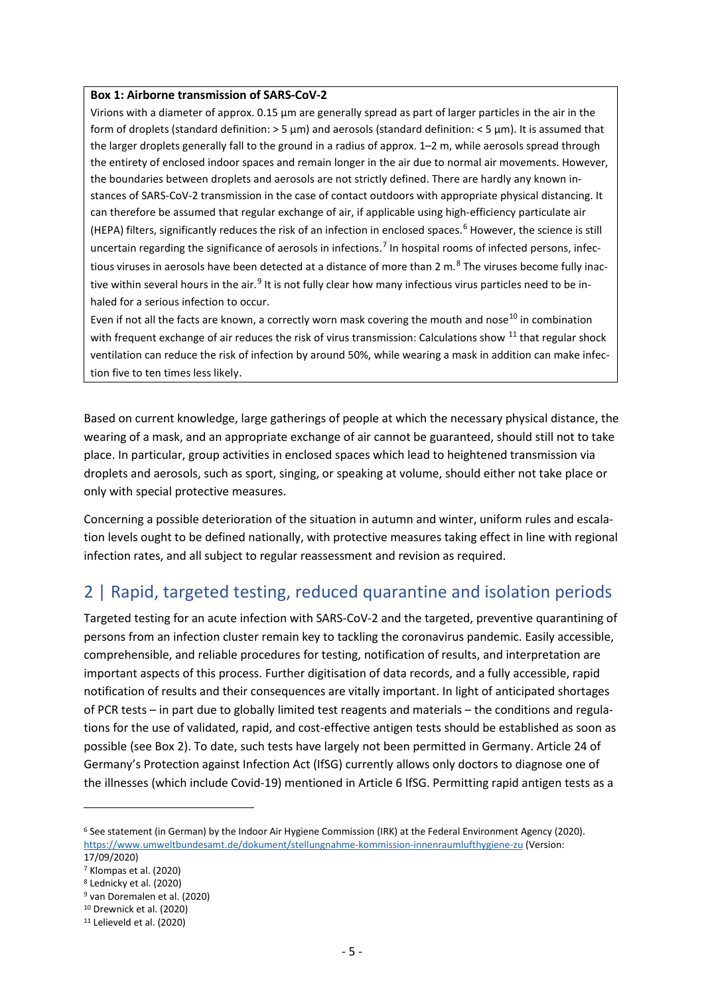#### **Box 1: Airborne transmission of SARS-CoV-2**

Virions with a diameter of approx. 0.15 µm are generally spread as part of larger particles in the air in the form of droplets (standard definition: > 5 µm) and aerosols (standard definition: < 5 µm). It is assumed that the larger droplets generally fall to the ground in a radius of approx. 1–2 m, while aerosols spread through the entirety of enclosed indoor spaces and remain longer in the air due to normal air movements. However, the boundaries between droplets and aerosols are not strictly defined. There are hardly any known instances of SARS-CoV-2 transmission in the case of contact outdoors with appropriate physical distancing. It can therefore be assumed that regular exchange of air, if applicable using high-efficiency particulate air (HEPA) filters, significantly reduces the risk of an infection in enclosed spaces.<sup>[6](#page-4-0)</sup> However, the science is still uncertain regarding the significance of aerosols in infections.<sup>[7](#page-4-1)</sup> In hospital rooms of infected persons, infectious viruses in aerosols have been detected at a distance of more than 2 m. $^8$  $^8$  The viruses become fully inac-tive within several hours in the air.<sup>[9](#page-4-3)</sup> It is not fully clear how many infectious virus particles need to be inhaled for a serious infection to occur.

Even if not all the facts are known, a correctly worn mask covering the mouth and nose<sup>[10](#page-4-4)</sup> in combination with frequent exchange of air reduces the risk of virus transmission: Calculations show <sup>[11](#page-4-5)</sup> that regular shock ventilation can reduce the risk of infection by around 50%, while wearing a mask in addition can make infection five to ten times less likely.

Based on current knowledge, large gatherings of people at which the necessary physical distance, the wearing of a mask, and an appropriate exchange of air cannot be guaranteed, should still not to take place. In particular, group activities in enclosed spaces which lead to heightened transmission via droplets and aerosols, such as sport, singing, or speaking at volume, should either not take place or only with special protective measures.

Concerning a possible deterioration of the situation in autumn and winter, uniform rules and escalation levels ought to be defined nationally, with protective measures taking effect in line with regional infection rates, and all subject to regular reassessment and revision as required.

# 2 | Rapid, targeted testing, reduced quarantine and isolation periods

Targeted testing for an acute infection with SARS-CoV-2 and the targeted, preventive quarantining of persons from an infection cluster remain key to tackling the coronavirus pandemic. Easily accessible, comprehensible, and reliable procedures for testing, notification of results, and interpretation are important aspects of this process. Further digitisation of data records, and a fully accessible, rapid notification of results and their consequences are vitally important. In light of anticipated shortages of PCR tests – in part due to globally limited test reagents and materials – the conditions and regulations for the use of validated, rapid, and cost-effective antigen tests should be established as soon as possible (see Box 2). To date, such tests have largely not been permitted in Germany. Article 24 of Germany's Protection against Infection Act (IfSG) currently allows only doctors to diagnose one of the illnesses (which include Covid-19) mentioned in Article 6 IfSG. Permitting rapid antigen tests as a

**.** 

<span id="page-4-0"></span><sup>6</sup> See statement (in German) by the Indoor Air Hygiene Commission (IRK) at the Federal Environment Agency (2020). <https://www.umweltbundesamt.de/dokument/stellungnahme-kommission-innenraumlufthygiene-zu> (Version:

<sup>17/09/2020)</sup>

<span id="page-4-1"></span><sup>7</sup> Klompas et al. (2020)

<span id="page-4-2"></span><sup>8</sup> Lednicky et al. (2020)

<span id="page-4-4"></span><span id="page-4-3"></span><sup>9</sup> van Doremalen et al. (2020) <sup>10</sup> Drewnick et al. (2020)

<span id="page-4-5"></span>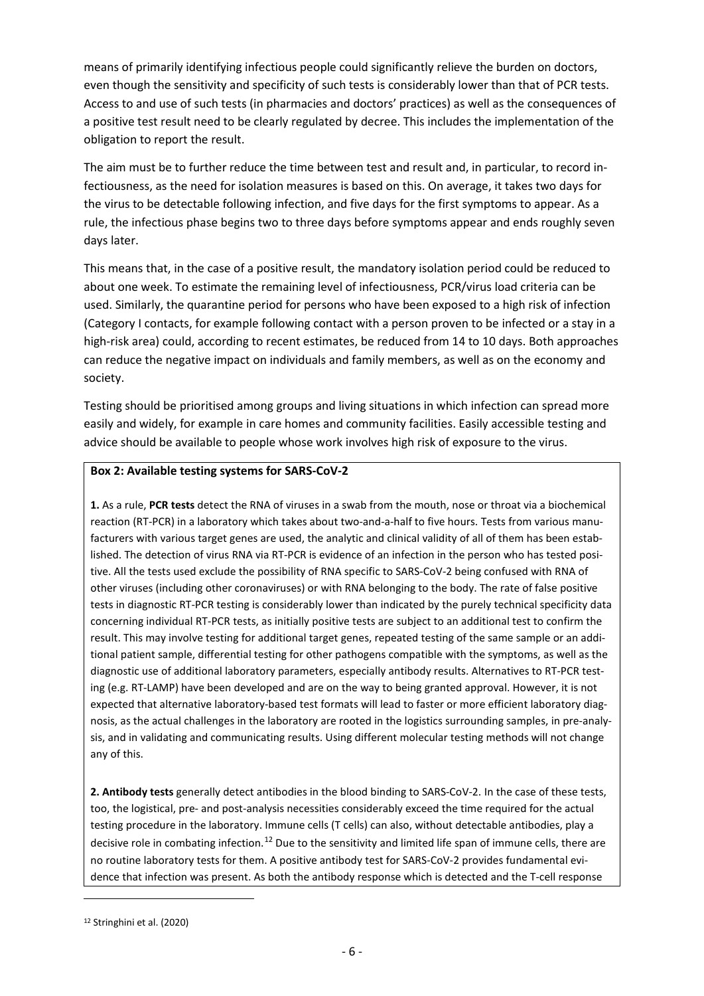means of primarily identifying infectious people could significantly relieve the burden on doctors, even though the sensitivity and specificity of such tests is considerably lower than that of PCR tests. Access to and use of such tests (in pharmacies and doctors' practices) as well as the consequences of a positive test result need to be clearly regulated by decree. This includes the implementation of the obligation to report the result.

The aim must be to further reduce the time between test and result and, in particular, to record infectiousness, as the need for isolation measures is based on this. On average, it takes two days for the virus to be detectable following infection, and five days for the first symptoms to appear. As a rule, the infectious phase begins two to three days before symptoms appear and ends roughly seven days later.

This means that, in the case of a positive result, the mandatory isolation period could be reduced to about one week. To estimate the remaining level of infectiousness, PCR/virus load criteria can be used. Similarly, the quarantine period for persons who have been exposed to a high risk of infection (Category I contacts, for example following contact with a person proven to be infected or a stay in a high-risk area) could, according to recent estimates, be reduced from 14 to 10 days. Both approaches can reduce the negative impact on individuals and family members, as well as on the economy and society.

Testing should be prioritised among groups and living situations in which infection can spread more easily and widely, for example in care homes and community facilities. Easily accessible testing and advice should be available to people whose work involves high risk of exposure to the virus.

#### **Box 2: Available testing systems for SARS-CoV-2**

**1.** As a rule, **PCR tests** detect the RNA of viruses in a swab from the mouth, nose or throat via a biochemical reaction (RT-PCR) in a laboratory which takes about two-and-a-half to five hours. Tests from various manufacturers with various target genes are used, the analytic and clinical validity of all of them has been established. The detection of virus RNA via RT-PCR is evidence of an infection in the person who has tested positive. All the tests used exclude the possibility of RNA specific to SARS-CoV-2 being confused with RNA of other viruses (including other coronaviruses) or with RNA belonging to the body. The rate of false positive tests in diagnostic RT-PCR testing is considerably lower than indicated by the purely technical specificity data concerning individual RT-PCR tests, as initially positive tests are subject to an additional test to confirm the result. This may involve testing for additional target genes, repeated testing of the same sample or an additional patient sample, differential testing for other pathogens compatible with the symptoms, as well as the diagnostic use of additional laboratory parameters, especially antibody results. Alternatives to RT-PCR testing (e.g. RT-LAMP) have been developed and are on the way to being granted approval. However, it is not expected that alternative laboratory-based test formats will lead to faster or more efficient laboratory diagnosis, as the actual challenges in the laboratory are rooted in the logistics surrounding samples, in pre-analysis, and in validating and communicating results. Using different molecular testing methods will not change any of this.

**2. Antibody tests** generally detect antibodies in the blood binding to SARS-CoV-2. In the case of these tests, too, the logistical, pre- and post-analysis necessities considerably exceed the time required for the actual testing procedure in the laboratory. Immune cells (T cells) can also, without detectable antibodies, play a decisive role in combating infection.<sup>[12](#page-5-0)</sup> Due to the sensitivity and limited life span of immune cells, there are no routine laboratory tests for them. A positive antibody test for SARS-CoV-2 provides fundamental evidence that infection was present. As both the antibody response which is detected and the T-cell response

**.** 

<span id="page-5-0"></span><sup>12</sup> Stringhini et al. (2020)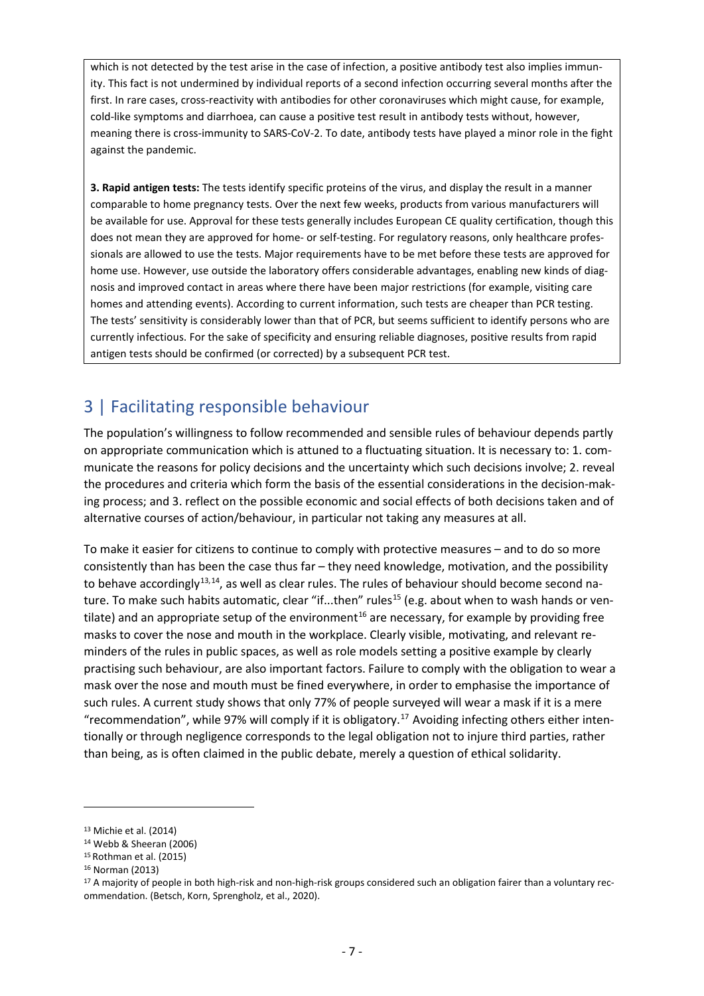which is not detected by the test arise in the case of infection, a positive antibody test also implies immunity. This fact is not undermined by individual reports of a second infection occurring several months after the first. In rare cases, cross-reactivity with antibodies for other coronaviruses which might cause, for example, cold-like symptoms and diarrhoea, can cause a positive test result in antibody tests without, however, meaning there is cross-immunity to SARS-CoV-2. To date, antibody tests have played a minor role in the fight against the pandemic.

**3. Rapid antigen tests:** The tests identify specific proteins of the virus, and display the result in a manner comparable to home pregnancy tests. Over the next few weeks, products from various manufacturers will be available for use. Approval for these tests generally includes European CE quality certification, though this does not mean they are approved for home- or self-testing. For regulatory reasons, only healthcare professionals are allowed to use the tests. Major requirements have to be met before these tests are approved for home use. However, use outside the laboratory offers considerable advantages, enabling new kinds of diagnosis and improved contact in areas where there have been major restrictions (for example, visiting care homes and attending events). According to current information, such tests are cheaper than PCR testing. The tests' sensitivity is considerably lower than that of PCR, but seems sufficient to identify persons who are currently infectious. For the sake of specificity and ensuring reliable diagnoses, positive results from rapid antigen tests should be confirmed (or corrected) by a subsequent PCR test.

# 3 | Facilitating responsible behaviour

The population's willingness to follow recommended and sensible rules of behaviour depends partly on appropriate communication which is attuned to a fluctuating situation. It is necessary to: 1. communicate the reasons for policy decisions and the uncertainty which such decisions involve; 2. reveal the procedures and criteria which form the basis of the essential considerations in the decision-making process; and 3. reflect on the possible economic and social effects of both decisions taken and of alternative courses of action/behaviour, in particular not taking any measures at all.

To make it easier for citizens to continue to comply with protective measures – and to do so more consistently than has been the case thus far – they need knowledge, motivation, and the possibility to behave accordingly<sup>[13,](#page-6-0)14</sup>, as well as clear rules. The rules of behaviour should become second na-ture. To make such habits automatic, clear "if...then" rules<sup>[15](#page-6-2)</sup> (e.g. about when to wash hands or ven-tilate) and an appropriate setup of the environment<sup>[16](#page-6-3)</sup> are necessary, for example by providing free masks to cover the nose and mouth in the workplace. Clearly visible, motivating, and relevant reminders of the rules in public spaces, as well as role models setting a positive example by clearly practising such behaviour, are also important factors. Failure to comply with the obligation to wear a mask over the nose and mouth must be fined everywhere, in order to emphasise the importance of such rules. A current study shows that only 77% of people surveyed will wear a mask if it is a mere "recommendation", while 97% will comply if it is obligatory.<sup>[17](#page-6-4)</sup> Avoiding infecting others either intentionally or through negligence corresponds to the legal obligation not to injure third parties, rather than being, as is often claimed in the public debate, merely a question of ethical solidarity.

 $\overline{a}$ 

<span id="page-6-0"></span><sup>13</sup> Michie et al. (2014)

<span id="page-6-1"></span><sup>14</sup> Webb & Sheeran (2006)

<span id="page-6-2"></span><sup>15</sup> Rothman et al. (2015)

<span id="page-6-3"></span><sup>16</sup> Norman (2013)

<span id="page-6-4"></span><sup>&</sup>lt;sup>17</sup> A majority of people in both high-risk and non-high-risk groups considered such an obligation fairer than a voluntary recommendation. (Betsch, Korn, Sprengholz, et al., 2020).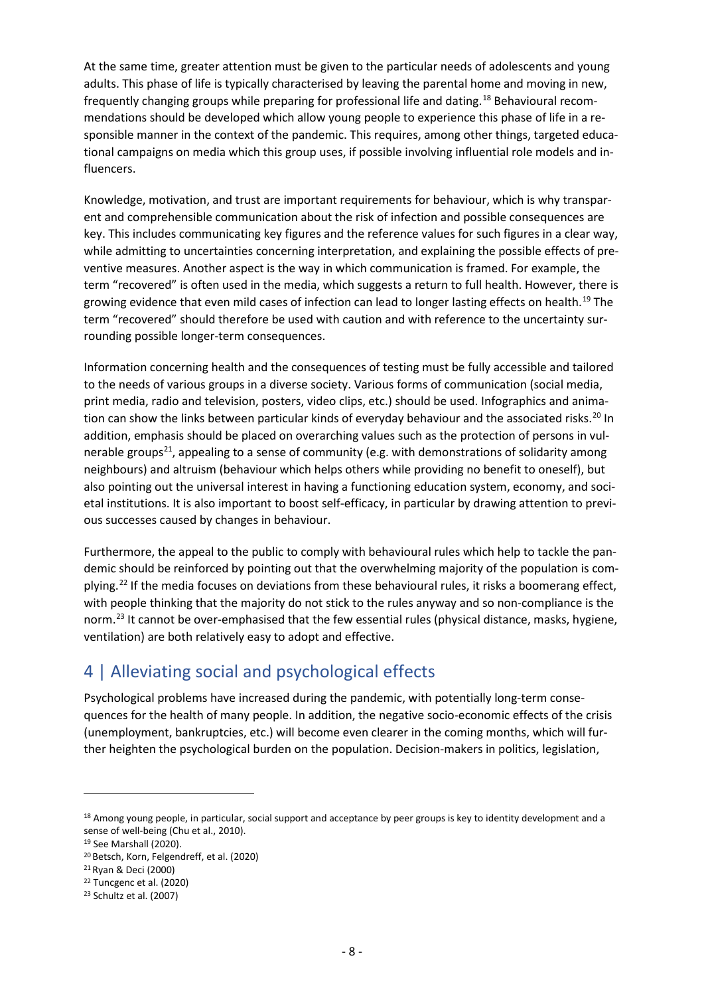At the same time, greater attention must be given to the particular needs of adolescents and young adults. This phase of life is typically characterised by leaving the parental home and moving in new, frequently changing groups while preparing for professional life and dating.[18](#page-7-0) Behavioural recommendations should be developed which allow young people to experience this phase of life in a responsible manner in the context of the pandemic. This requires, among other things, targeted educational campaigns on media which this group uses, if possible involving influential role models and influencers.

Knowledge, motivation, and trust are important requirements for behaviour, which is why transparent and comprehensible communication about the risk of infection and possible consequences are key. This includes communicating key figures and the reference values for such figures in a clear way, while admitting to uncertainties concerning interpretation, and explaining the possible effects of preventive measures. Another aspect is the way in which communication is framed. For example, the term "recovered" is often used in the media, which suggests a return to full health. However, there is growing evidence that even mild cases of infection can lead to longer lasting effects on health.<sup>[19](#page-7-1)</sup> The term "recovered" should therefore be used with caution and with reference to the uncertainty surrounding possible longer-term consequences.

Information concerning health and the consequences of testing must be fully accessible and tailored to the needs of various groups in a diverse society. Various forms of communication (social media, print media, radio and television, posters, video clips, etc.) should be used. Infographics and anima-tion can show the links between particular kinds of everyday behaviour and the associated risks.<sup>[20](#page-7-2)</sup> In addition, emphasis should be placed on overarching values such as the protection of persons in vulnerable groups<sup>21</sup>, appealing to a sense of community (e.g. with demonstrations of solidarity among neighbours) and altruism (behaviour which helps others while providing no benefit to oneself), but also pointing out the universal interest in having a functioning education system, economy, and societal institutions. It is also important to boost self-efficacy, in particular by drawing attention to previous successes caused by changes in behaviour.

Furthermore, the appeal to the public to comply with behavioural rules which help to tackle the pandemic should be reinforced by pointing out that the overwhelming majority of the population is com-plying.<sup>[22](#page-7-4)</sup> If the media focuses on deviations from these behavioural rules, it risks a boomerang effect, with people thinking that the majority do not stick to the rules anyway and so non-compliance is the norm.<sup>23</sup> It cannot be over-emphasised that the few essential rules (physical distance, masks, hygiene, ventilation) are both relatively easy to adopt and effective.

# 4 | Alleviating social and psychological effects

Psychological problems have increased during the pandemic, with potentially long-term consequences for the health of many people. In addition, the negative socio-economic effects of the crisis (unemployment, bankruptcies, etc.) will become even clearer in the coming months, which will further heighten the psychological burden on the population. Decision-makers in politics, legislation,

**.** 

<span id="page-7-0"></span><sup>18</sup> Among young people, in particular, social support and acceptance by peer groups is key to identity development and a sense of well-being (Chu et al., 2010).

<span id="page-7-1"></span><sup>19</sup> See Marshall (2020).

<span id="page-7-2"></span><sup>20</sup> Betsch, Korn, Felgendreff, et al. (2020)

<span id="page-7-3"></span><sup>21</sup> Ryan & Deci (2000)

<span id="page-7-4"></span><sup>22</sup> Tuncgenc et al. (2020)

<span id="page-7-5"></span><sup>23</sup> Schultz et al. (2007)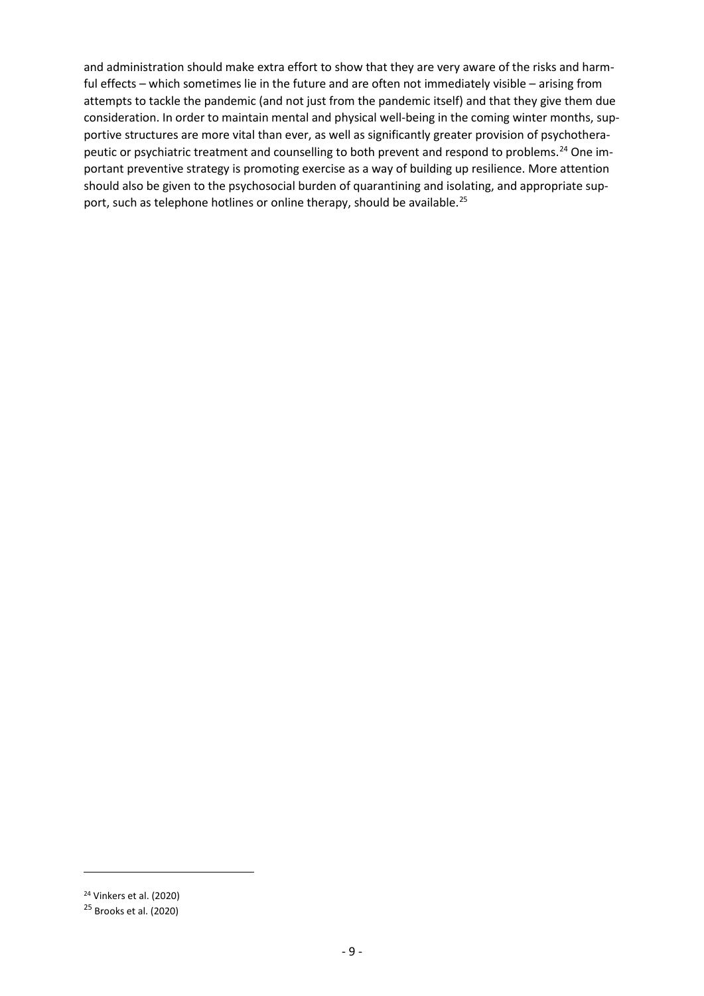and administration should make extra effort to show that they are very aware of the risks and harmful effects – which sometimes lie in the future and are often not immediately visible – arising from attempts to tackle the pandemic (and not just from the pandemic itself) and that they give them due consideration. In order to maintain mental and physical well-being in the coming winter months, supportive structures are more vital than ever, as well as significantly greater provision of psychothera-peutic or psychiatric treatment and counselling to both prevent and respond to problems.<sup>[24](#page-8-0)</sup> One important preventive strategy is promoting exercise as a way of building up resilience. More attention should also be given to the psychosocial burden of quarantining and isolating, and appropriate sup-port, such as telephone hotlines or online therapy, should be available.<sup>[25](#page-8-1)</sup>

<u>.</u>

<span id="page-8-0"></span><sup>24</sup> Vinkers et al. (2020)

<span id="page-8-1"></span> $25$  Brooks et al. (2020)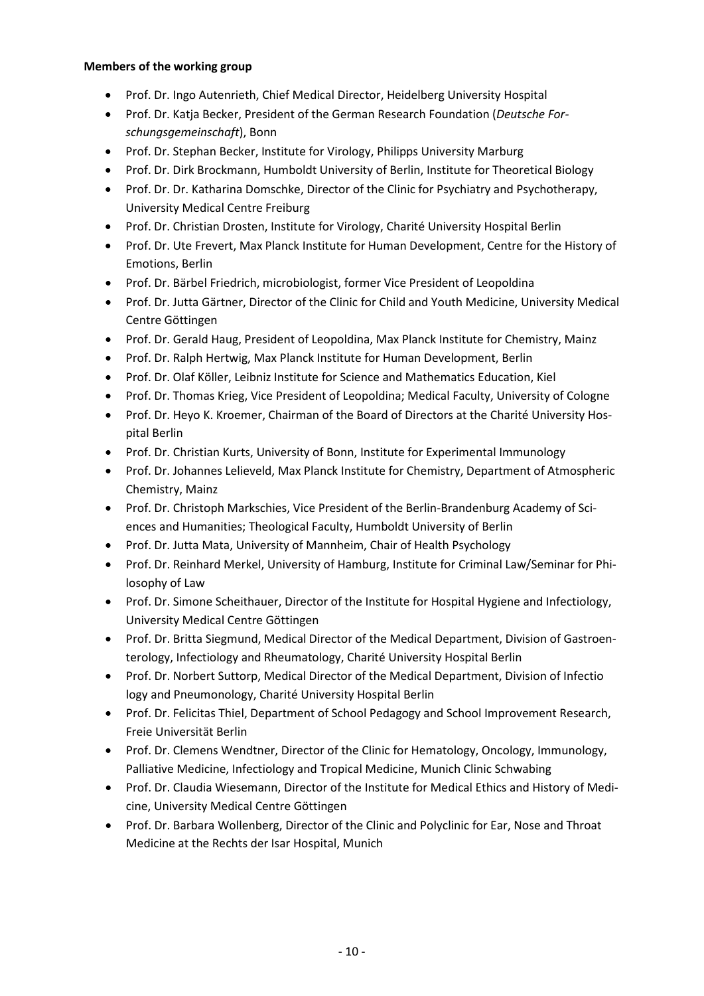### **Members of the working group**

- Prof. Dr. Ingo Autenrieth, Chief Medical Director, Heidelberg University Hospital
- Prof. Dr. Katja Becker, President of the German Research Foundation (*Deutsche Forschungsgemeinschaft*), Bonn
- Prof. Dr. Stephan Becker, Institute for Virology, Philipps University Marburg
- Prof. Dr. Dirk Brockmann, Humboldt University of Berlin, Institute for Theoretical Biology
- Prof. Dr. Dr. Katharina Domschke, Director of the Clinic for Psychiatry and Psychotherapy, University Medical Centre Freiburg
- Prof. Dr. Christian Drosten, Institute for Virology, Charité University Hospital Berlin
- Prof. Dr. Ute Frevert, Max Planck Institute for Human Development, Centre for the History of Emotions, Berlin
- Prof. Dr. Bärbel Friedrich, microbiologist, former Vice President of Leopoldina
- Prof. Dr. Jutta Gärtner, Director of the Clinic for Child and Youth Medicine, University Medical Centre Göttingen
- Prof. Dr. Gerald Haug, President of Leopoldina, Max Planck Institute for Chemistry, Mainz
- Prof. Dr. Ralph Hertwig, Max Planck Institute for Human Development, Berlin
- Prof. Dr. Olaf Köller, Leibniz Institute for Science and Mathematics Education, Kiel
- Prof. Dr. Thomas Krieg, Vice President of Leopoldina; Medical Faculty, University of Cologne
- Prof. Dr. Heyo K. Kroemer, Chairman of the Board of Directors at the Charité University Hospital Berlin
- Prof. Dr. Christian Kurts, University of Bonn, Institute for Experimental Immunology
- Prof. Dr. Johannes Lelieveld, Max Planck Institute for Chemistry, Department of Atmospheric Chemistry, Mainz
- Prof. Dr. Christoph Markschies, Vice President of the Berlin-Brandenburg Academy of Sciences and Humanities; Theological Faculty, Humboldt University of Berlin
- Prof. Dr. Jutta Mata, University of Mannheim, Chair of Health Psychology
- Prof. Dr. Reinhard Merkel, University of Hamburg, Institute for Criminal Law/Seminar for Philosophy of Law
- Prof. Dr. Simone Scheithauer, Director of the Institute for Hospital Hygiene and Infectiology, University Medical Centre Göttingen
- Prof. Dr. Britta Siegmund, Medical Director of the Medical Department, Division of Gastroenterology, Infectiology and Rheumatology, Charité University Hospital Berlin
- Prof. Dr. Norbert Suttorp, Medical Director of the Medical Department, Division of Infectio logy and Pneumonology, Charité University Hospital Berlin
- Prof. Dr. Felicitas Thiel, Department of School Pedagogy and School Improvement Research, Freie Universität Berlin
- Prof. Dr. Clemens Wendtner, Director of the Clinic for Hematology, Oncology, Immunology, Palliative Medicine, Infectiology and Tropical Medicine, Munich Clinic Schwabing
- Prof. Dr. Claudia Wiesemann, Director of the Institute for Medical Ethics and History of Medicine, University Medical Centre Göttingen
- Prof. Dr. Barbara Wollenberg, Director of the Clinic and Polyclinic for Ear, Nose and Throat Medicine at the Rechts der Isar Hospital, Munich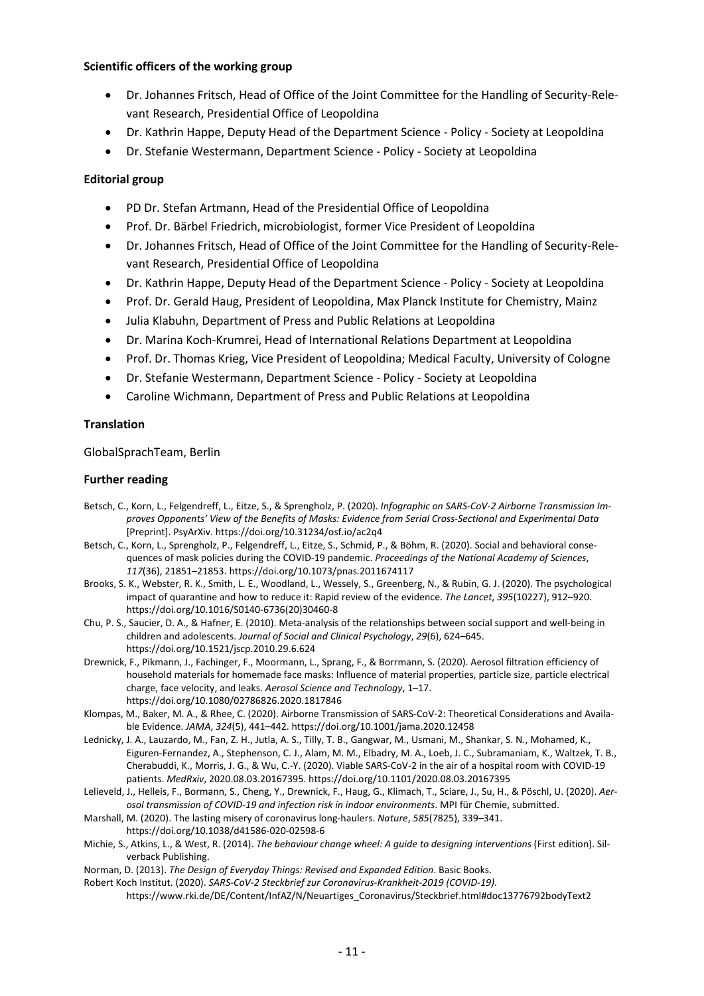#### **Scientific officers of the working group**

- Dr. Johannes Fritsch, Head of Office of the Joint Committee for the Handling of Security-Relevant Research, Presidential Office of Leopoldina
- Dr. Kathrin Happe, Deputy Head of the Department Science Policy Society at Leopoldina
- Dr. Stefanie Westermann, Department Science Policy Society at Leopoldina

### **Editorial group**

- PD Dr. Stefan Artmann, Head of the Presidential Office of Leopoldina
- Prof. Dr. Bärbel Friedrich, microbiologist, former Vice President of Leopoldina
- Dr. Johannes Fritsch, Head of Office of the Joint Committee for the Handling of Security-Relevant Research, Presidential Office of Leopoldina
- Dr. Kathrin Happe, Deputy Head of the Department Science Policy Society at Leopoldina
- Prof. Dr. Gerald Haug, President of Leopoldina, Max Planck Institute for Chemistry, Mainz
- Julia Klabuhn, Department of Press and Public Relations at Leopoldina
- Dr. Marina Koch-Krumrei, Head of International Relations Department at Leopoldina
- Prof. Dr. Thomas Krieg, Vice President of Leopoldina; Medical Faculty, University of Cologne
- Dr. Stefanie Westermann, Department Science Policy Society at Leopoldina
- Caroline Wichmann, Department of Press and Public Relations at Leopoldina

### **Translation**

GlobalSprachTeam, Berlin

### **Further reading**

- Betsch, C., Korn, L., Felgendreff, L., Eitze, S., & Sprengholz, P. (2020). *Infographic on SARS-CoV-2 Airborne Transmission Improves Opponents' View of the Benefits of Masks: Evidence from Serial Cross-Sectional and Experimental Data* [Preprint]. PsyArXiv. https://doi.org/10.31234/osf.io/ac2q4
- Betsch, C., Korn, L., Sprengholz, P., Felgendreff, L., Eitze, S., Schmid, P., & Böhm, R. (2020). Social and behavioral consequences of mask policies during the COVID-19 pandemic. *Proceedings of the National Academy of Sciences*, *117*(36), 21851–21853. https://doi.org/10.1073/pnas.2011674117
- Brooks, S. K., Webster, R. K., Smith, L. E., Woodland, L., Wessely, S., Greenberg, N., & Rubin, G. J. (2020). The psychological impact of quarantine and how to reduce it: Rapid review of the evidence. *The Lancet*, *395*(10227), 912–920. https://doi.org/10.1016/S0140-6736(20)30460-8
- Chu, P. S., Saucier, D. A., & Hafner, E. (2010). Meta-analysis of the relationships between social support and well-being in children and adolescents. *Journal of Social and Clinical Psychology*, *29*(6), 624–645. https://doi.org/10.1521/jscp.2010.29.6.624
- Drewnick, F., Pikmann, J., Fachinger, F., Moormann, L., Sprang, F., & Borrmann, S. (2020). Aerosol filtration efficiency of household materials for homemade face masks: Influence of material properties, particle size, particle electrical charge, face velocity, and leaks. *Aerosol Science and Technology*, 1–17. https://doi.org/10.1080/02786826.2020.1817846
- Klompas, M., Baker, M. A., & Rhee, C. (2020). Airborne Transmission of SARS-CoV-2: Theoretical Considerations and Available Evidence. *JAMA*, *324*(5), 441–442. https://doi.org/10.1001/jama.2020.12458
- Lednicky, J. A., Lauzardo, M., Fan, Z. H., Jutla, A. S., Tilly, T. B., Gangwar, M., Usmani, M., Shankar, S. N., Mohamed, K., Eiguren-Fernandez, A., Stephenson, C. J., Alam, M. M., Elbadry, M. A., Loeb, J. C., Subramaniam, K., Waltzek, T. B., Cherabuddi, K., Morris, J. G., & Wu, C.-Y. (2020). Viable SARS-CoV-2 in the air of a hospital room with COVID-19 patients. *MedRxiv*, 2020.08.03.20167395. https://doi.org/10.1101/2020.08.03.20167395
- Lelieveld, J., Helleis, F., Bormann, S., Cheng, Y., Drewnick, F., Haug, G., Klimach, T., Sciare, J., Su, H., & Pöschl, U. (2020). *Aerosol transmission of COVID-19 and infection risk in indoor environments*. MPI für Chemie, submitted.
- Marshall, M. (2020). The lasting misery of coronavirus long-haulers. *Nature*, *585*(7825), 339–341. https://doi.org/10.1038/d41586-020-02598-6
- Michie, S., Atkins, L., & West, R. (2014). *The behaviour change wheel: A guide to designing interventions* (First edition). Silverback Publishing.
- Norman, D. (2013). *The Design of Everyday Things: Revised and Expanded Edition*. Basic Books.
- Robert Koch Institut. (2020). *SARS-CoV-2 Steckbrief zur Coronavirus-Krankheit-2019 (COVID-19)*.
	- https://www.rki.de/DE/Content/InfAZ/N/Neuartiges\_Coronavirus/Steckbrief.html#doc13776792bodyText2